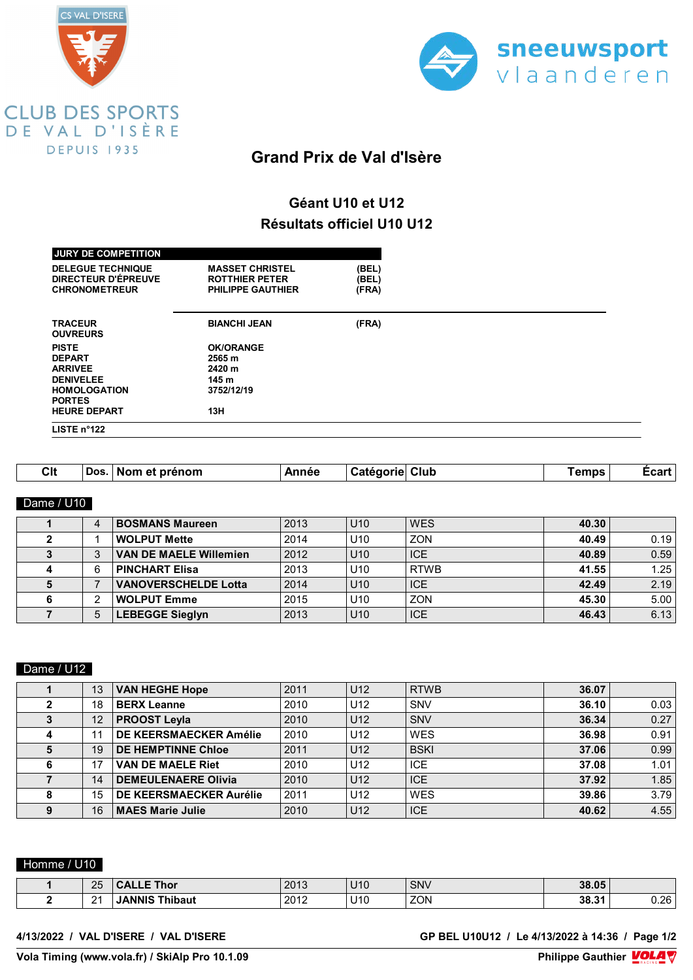



# **Grand Prix de Val d'Isère**

# **Géant U10 et U12 Résultats officiel U10 U12**

| <b>JURY DE COMPETITION</b><br><b>DELEGUE TECHNIQUE</b><br>DIRECTEUR D'ÉPREUVE<br><b>CHRONOMETREUR</b> | <b>MASSET CHRISTEL</b><br><b>ROTTHIER PETER</b><br><b>PHILIPPE GAUTHIER</b> | (BEL)<br>(BEL)<br>(FRA) |  |
|-------------------------------------------------------------------------------------------------------|-----------------------------------------------------------------------------|-------------------------|--|
| <b>TRACEUR</b><br><b>OUVREURS</b>                                                                     | <b>BIANCHI JEAN</b>                                                         | (FRA)                   |  |
| <b>PISTE</b>                                                                                          | <b>OK/ORANGE</b>                                                            |                         |  |
| <b>DEPART</b>                                                                                         | 2565 m                                                                      |                         |  |
| <b>ARRIVEE</b><br><b>DENIVELEE</b>                                                                    | 2420 m<br>145 m                                                             |                         |  |
| <b>HOMOLOGATION</b>                                                                                   | 3752/12/19                                                                  |                         |  |
| <b>PORTES</b>                                                                                         |                                                                             |                         |  |
| <b>HEURE DEPART</b>                                                                                   | 13H                                                                         |                         |  |
| LISTE $n^{\circ}122$                                                                                  |                                                                             |                         |  |

| <b>Clt</b><br>∟car<br>prénom<br>Dos<br>Annar<br>Clut<br>amne<br>Nor<br>еT<br>_____ |
|------------------------------------------------------------------------------------|
|------------------------------------------------------------------------------------|

# Dame / U10

| 4 | <b>BOSMANS Maureen</b>        | 2013 | U10             | <b>WES</b>  | 40.30 |      |
|---|-------------------------------|------|-----------------|-------------|-------|------|
|   | <b>WOLPUT Mette</b>           | 2014 | U <sub>10</sub> | <b>ZON</b>  | 40.49 | 0.19 |
| 3 | <b>VAN DE MAELE Willemien</b> | 2012 | U10             | <b>ICE</b>  | 40.89 | 0.59 |
| 6 | <b>PINCHART Elisa</b>         | 2013 | U <sub>10</sub> | <b>RTWB</b> | 41.55 | 1.25 |
|   | <b>VANOVERSCHELDE Lotta</b>   | 2014 | U10             | <b>ICE</b>  | 42.49 | 2.19 |
| ◠ | <b>WOLPUT Emme</b>            | 2015 | U <sub>10</sub> | <b>ZON</b>  | 45.30 | 5.00 |
| 5 | <b>LEBEGGE Sieglyn</b>        | 2013 | U <sub>10</sub> | <b>ICE</b>  | 46.43 | 6.13 |

# Dame / U12

|   | 13 | <b>VAN HEGHE Hope</b>      | 2011 | U12             | <b>RTWB</b> | 36.07 |      |
|---|----|----------------------------|------|-----------------|-------------|-------|------|
|   | 18 | <b>BERX Leanne</b>         | 2010 | U12             | SNV         | 36.10 | 0.03 |
|   | 12 | <b>PROOST Leyla</b>        | 2010 | U <sub>12</sub> | SNV         | 36.34 | 0.27 |
|   | 11 | DE KEERSMAECKER Amélie     | 2010 | U12             | <b>WES</b>  | 36.98 | 0.91 |
|   | 19 | <b>DE HEMPTINNE Chloe</b>  | 2011 | U <sub>12</sub> | <b>BSKI</b> | 37.06 | 0.99 |
|   | 17 | <b>VAN DE MAELE Riet</b>   | 2010 | U <sub>12</sub> | <b>ICE</b>  | 37.08 | 1.01 |
|   | 14 | <b>DEMEULENAERE Olivia</b> | 2010 | U <sub>12</sub> | <b>ICE</b>  | 37.92 | 1.85 |
|   | 15 | DE KEERSMAECKER Aurélie    | 2011 | U12             | <b>WES</b>  | 39.86 | 3.79 |
| 9 | 16 | <b>MAES Marie Julie</b>    | 2010 | U <sub>12</sub> | <b>ICE</b>  | 40.62 | 4.55 |

## Homme / U10

| つに<br>- LU | Thor<br>-     | 2012<br>∠∪ ≀∪  | 1140<br>UIV | <b>SNV</b>                                                    | 38.05 |            |
|------------|---------------|----------------|-------------|---------------------------------------------------------------|-------|------------|
| n,<br>-    | hibaut<br>JNI | 2012<br>20 I 2 | 14C<br>UIV  | <b>ZON</b><br>the contract of the contract of the contract of | 38.31 | າຂ<br>◡.∠◡ |

#### **4/13/2022 / VAL D'ISERE / VAL D'ISERE GP BEL U10U12 / Le 4/13/2022 à 14:36 / Page 1/2**

**Vola Timing (www.vola.fr) / SkiAlp Pro 10.1.09**